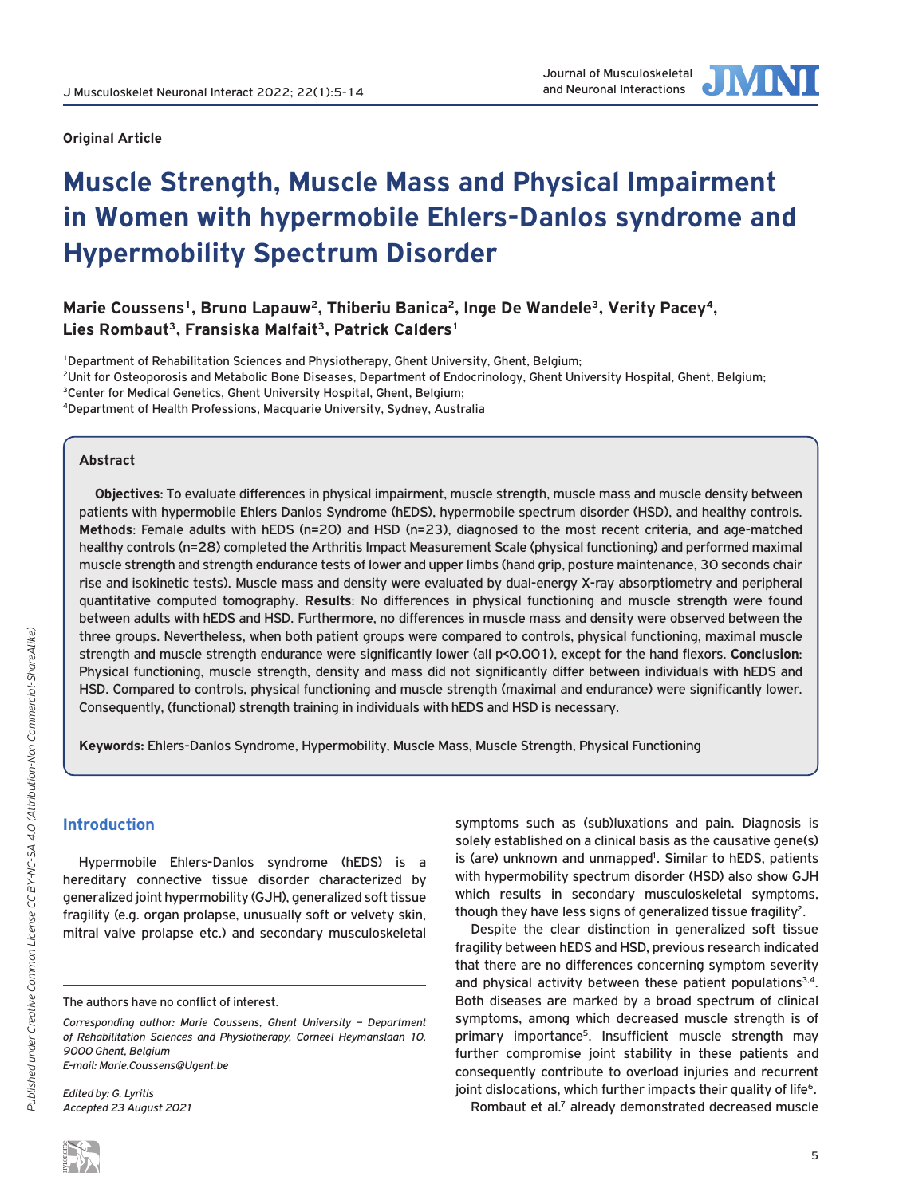

# **Muscle Strength, Muscle Mass and Physical Impairment in Women with hypermobile Ehlers-Danlos syndrome and Hypermobility Spectrum Disorder**

Marie Coussens<sup>1</sup>, Bruno Lapauw<sup>2</sup>, Thiberiu Banica<sup>2</sup>, Inge De Wandele<sup>3</sup>, Verity Pacey<sup>4</sup>, **Lies Rombaut3, Fransiska Malfait3, Patrick Calders1**

1Department of Rehabilitation Sciences and Physiotherapy, Ghent University, Ghent, Belgium; 2Unit for Osteoporosis and Metabolic Bone Diseases, Department of Endocrinology, Ghent University Hospital, Ghent, Belgium; <sup>3</sup>Center for Medical Genetics, Ghent University Hospital, Ghent, Belgium; 4Department of Health Professions, Macquarie University, Sydney, Australia

## **Abstract**

**Objectives**: To evaluate differences in physical impairment, muscle strength, muscle mass and muscle density between patients with hypermobile Ehlers Danlos Syndrome (hEDS), hypermobile spectrum disorder (HSD), and healthy controls. **Methods**: Female adults with hEDS (n=20) and HSD (n=23), diagnosed to the most recent criteria, and age-matched healthy controls (n=28) completed the Arthritis Impact Measurement Scale (physical functioning) and performed maximal muscle strength and strength endurance tests of lower and upper limbs (hand grip, posture maintenance, 30 seconds chair rise and isokinetic tests). Muscle mass and density were evaluated by dual-energy X-ray absorptiometry and peripheral quantitative computed tomography. **Results**: No differences in physical functioning and muscle strength were found between adults with hEDS and HSD. Furthermore, no differences in muscle mass and density were observed between the three groups. Nevertheless, when both patient groups were compared to controls, physical functioning, maximal muscle strength and muscle strength endurance were significantly lower (all p<0.001), except for the hand flexors. **Conclusion**: Physical functioning, muscle strength, density and mass did not significantly differ between individuals with hEDS and HSD. Compared to controls, physical functioning and muscle strength (maximal and endurance) were significantly lower. Consequently, (functional) strength training in individuals with hEDS and HSD is necessary.

**Keywords:** Ehlers-Danlos Syndrome, Hypermobility, Muscle Mass, Muscle Strength, Physical Functioning

# **Introduction**

Hypermobile Ehlers-Danlos syndrome (hEDS) is a hereditary connective tissue disorder characterized by generalized joint hypermobility (GJH), generalized soft tissue fragility (e.g. organ prolapse, unusually soft or velvety skin, mitral valve prolapse etc.) and secondary musculoskeletal

*Edited by: G. Lyritis Accepted 23 August 2021* symptoms such as (sub)luxations and pain. Diagnosis is solely established on a clinical basis as the causative gene(s) is (are) unknown and unmapped<sup>1</sup>. Similar to hEDS, patients with hypermobility spectrum disorder (HSD) also show GJH which results in secondary musculoskeletal symptoms, though they have less signs of generalized tissue fragility<sup>2</sup>.

Despite the clear distinction in generalized soft tissue fragility between hEDS and HSD, previous research indicated that there are no differences concerning symptom severity and physical activity between these patient populations $3,4$ . Both diseases are marked by a broad spectrum of clinical symptoms, among which decreased muscle strength is of primary importance<sup>5</sup>. Insufficient muscle strength may further compromise joint stability in these patients and consequently contribute to overload injuries and recurrent joint dislocations, which further impacts their quality of life<sup>6</sup>.

Rombaut et al.7 already demonstrated decreased muscle

The authors have no conflict of interest.

*Corresponding author: Marie Coussens, Ghent University – Department of Rehabilitation Sciences and Physiotherapy, Corneel Heymanslaan 10, 9000 Ghent, Belgium E-mail: Marie.Coussens@Ugent.be*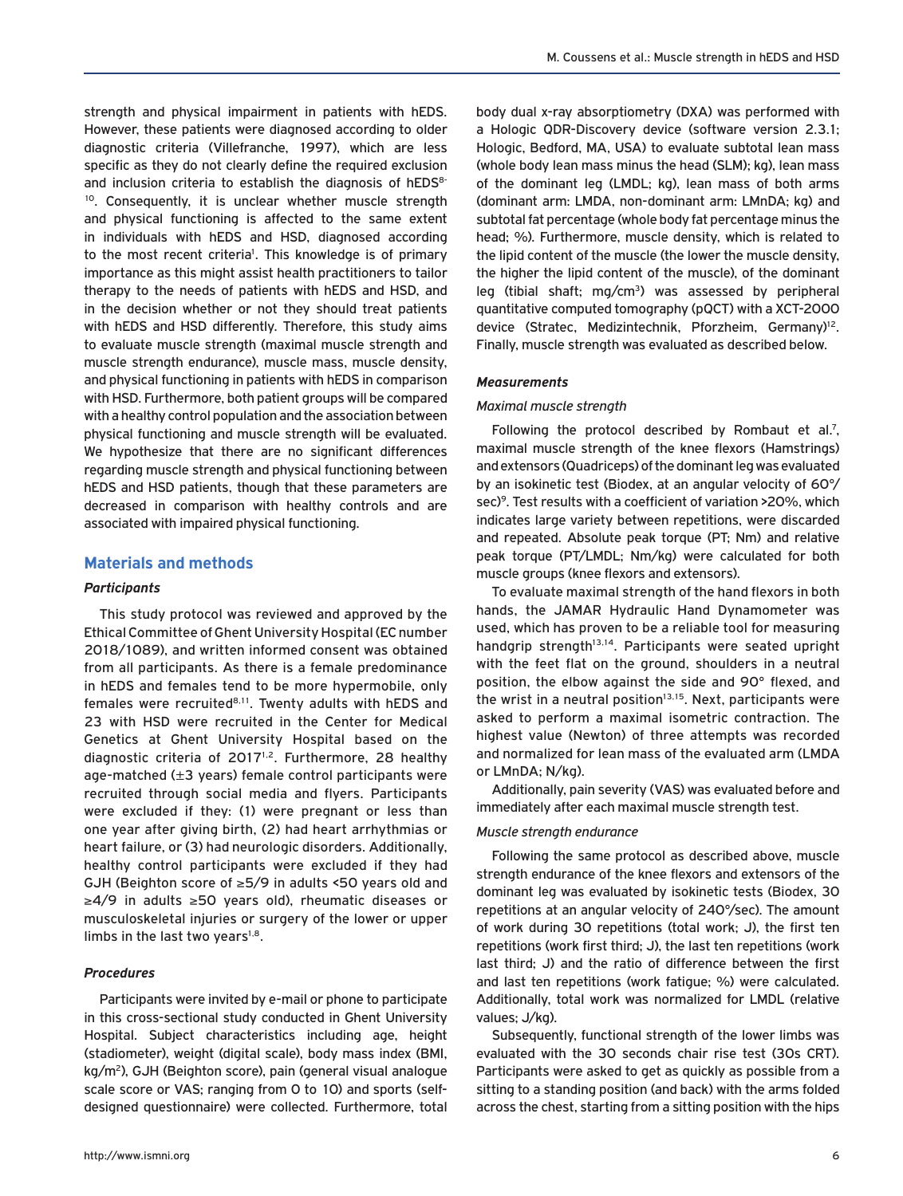strength and physical impairment in patients with hEDS. However, these patients were diagnosed according to older diagnostic criteria (Villefranche, 1997), which are less specific as they do not clearly define the required exclusion and inclusion criteria to establish the diagnosis of  $hEDS<sup>8-</sup>$ 10. Consequently, it is unclear whether muscle strength and physical functioning is affected to the same extent in individuals with hEDS and HSD, diagnosed according to the most recent criteria<sup>1</sup>. This knowledge is of primary importance as this might assist health practitioners to tailor therapy to the needs of patients with hEDS and HSD, and in the decision whether or not they should treat patients with hEDS and HSD differently. Therefore, this study aims to evaluate muscle strength (maximal muscle strength and muscle strength endurance), muscle mass, muscle density, and physical functioning in patients with hEDS in comparison with HSD. Furthermore, both patient groups will be compared with a healthy control population and the association between physical functioning and muscle strength will be evaluated. We hypothesize that there are no significant differences regarding muscle strength and physical functioning between hEDS and HSD patients, though that these parameters are decreased in comparison with healthy controls and are associated with impaired physical functioning.

## **Materials and methods**

#### *Participants*

This study protocol was reviewed and approved by the Ethical Committee of Ghent University Hospital (EC number 2018/1089), and written informed consent was obtained from all participants. As there is a female predominance in hEDS and females tend to be more hypermobile, only females were recruited<sup>8,11</sup>. Twenty adults with hEDS and 23 with HSD were recruited in the Center for Medical Genetics at Ghent University Hospital based on the diagnostic criteria of 2017<sup>1,2</sup>. Furthermore, 28 healthy age-matched (±3 years) female control participants were recruited through social media and flyers. Participants were excluded if they: (1) were pregnant or less than one year after giving birth, (2) had heart arrhythmias or heart failure, or (3) had neurologic disorders. Additionally, healthy control participants were excluded if they had GJH (Beighton score of ≥5/9 in adults <50 years old and ≥4/9 in adults ≥50 years old), rheumatic diseases or musculoskeletal injuries or surgery of the lower or upper limbs in the last two years $1,8$ .

### *Procedures*

Participants were invited by e-mail or phone to participate in this cross-sectional study conducted in Ghent University Hospital. Subject characteristics including age, height (stadiometer), weight (digital scale), body mass index (BMI, kg/m2), GJH (Beighton score), pain (general visual analogue scale score or VAS; ranging from 0 to 10) and sports (selfdesigned questionnaire) were collected. Furthermore, total body dual x-ray absorptiometry (DXA) was performed with a Hologic QDR-Discovery device (software version 2.3.1; Hologic, Bedford, MA, USA) to evaluate subtotal lean mass (whole body lean mass minus the head (SLM); kg), lean mass of the dominant leg (LMDL; kg), lean mass of both arms (dominant arm: LMDA, non-dominant arm: LMnDA; kg) and subtotal fat percentage (whole body fat percentage minus the head; %). Furthermore, muscle density, which is related to the lipid content of the muscle (the lower the muscle density, the higher the lipid content of the muscle), of the dominant leg (tibial shaft; mg/cm3) was assessed by peripheral quantitative computed tomography (pQCT) with a XCT-2000 device (Stratec, Medizintechnik, Pforzheim, Germany)12. Finally, muscle strength was evaluated as described below.

#### *Measurements*

#### *Maximal muscle strength*

Following the protocol described by Rombaut et al.7, maximal muscle strength of the knee flexors (Hamstrings) and extensors (Quadriceps) of the dominant leg was evaluated by an isokinetic test (Biodex, at an angular velocity of 60°/ sec)<sup>9</sup>. Test results with a coefficient of variation >20%, which indicates large variety between repetitions, were discarded and repeated. Absolute peak torque (PT; Nm) and relative peak torque (PT/LMDL; Nm/kg) were calculated for both muscle groups (knee flexors and extensors).

To evaluate maximal strength of the hand flexors in both hands, the JAMAR Hydraulic Hand Dynamometer was used, which has proven to be a reliable tool for measuring handgrip strength<sup>13,14</sup>. Participants were seated upright with the feet flat on the ground, shoulders in a neutral position, the elbow against the side and 90° flexed, and the wrist in a neutral position $13,15$ . Next, participants were asked to perform a maximal isometric contraction. The highest value (Newton) of three attempts was recorded and normalized for lean mass of the evaluated arm (LMDA or LMnDA; N/kg).

Additionally, pain severity (VAS) was evaluated before and immediately after each maximal muscle strength test.

#### *Muscle strength endurance*

Following the same protocol as described above, muscle strength endurance of the knee flexors and extensors of the dominant leg was evaluated by isokinetic tests (Biodex, 30 repetitions at an angular velocity of 240°/sec). The amount of work during 30 repetitions (total work; J), the first ten repetitions (work first third; J), the last ten repetitions (work last third; J) and the ratio of difference between the first and last ten repetitions (work fatigue; %) were calculated. Additionally, total work was normalized for LMDL (relative values; J/kg).

Subsequently, functional strength of the lower limbs was evaluated with the 30 seconds chair rise test (30s CRT). Participants were asked to get as quickly as possible from a sitting to a standing position (and back) with the arms folded across the chest, starting from a sitting position with the hips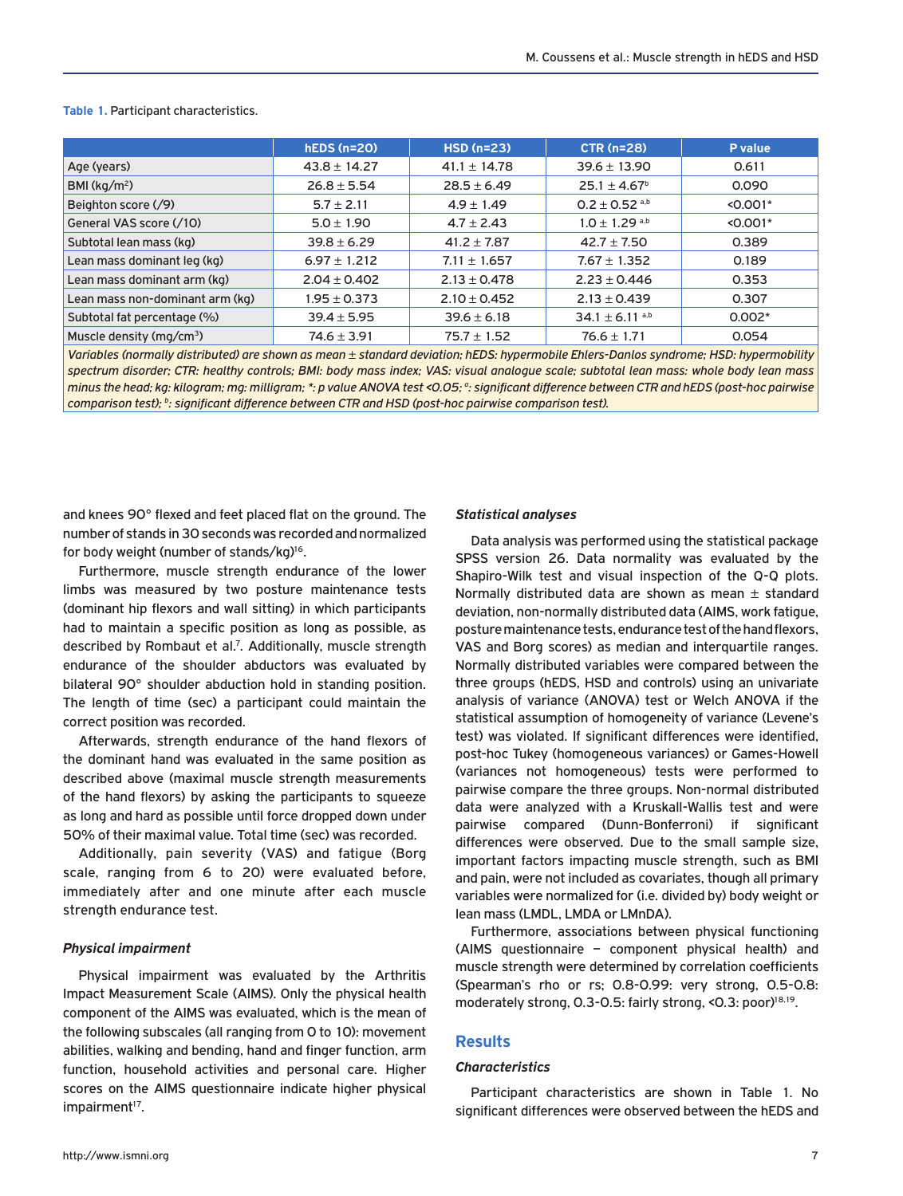#### **Table 1.** Participant characteristics.

|                                 | $hEDS(n=20)$     | $HSD(n=23)$      | <b>CTR (n=28)</b>             | P value    |
|---------------------------------|------------------|------------------|-------------------------------|------------|
| Age (years)                     | $43.8 \pm 14.27$ | $41.1 \pm 14.78$ | $39.6 \pm 13.90$              | 0.611      |
| BMI ( $\text{kg/m}^2$ )         | $26.8 \pm 5.54$  | $28.5 \pm 6.49$  | $25.1 \pm 4.67^{\circ}$       | 0.090      |
| Beighton score (/9)             | $5.7 \pm 2.11$   | $4.9 \pm 1.49$   | $0.2 \pm 0.52$ <sup>a,b</sup> | $< 0.001*$ |
| General VAS score (/10)         | $5.0 \pm 1.90$   | $4.7 \pm 2.43$   | $1.0 \pm 1.29$ a,b            | $< 0.001*$ |
| Subtotal lean mass (kg)         | $39.8 \pm 6.29$  | $41.2 \pm 7.87$  | $42.7 \pm 7.50$               | 0.389      |
| Lean mass dominant leg (kg)     | $6.97 \pm 1.212$ | $7.11 \pm 1.657$ | $7.67 \pm 1.352$              | 0.189      |
| Lean mass dominant arm (kg)     | $2.04 \pm 0.402$ | $2.13 \pm 0.478$ | $2.23 \pm 0.446$              | 0.353      |
| Lean mass non-dominant arm (kg) | $1.95 \pm 0.373$ | $2.10 \pm 0.452$ | $2.13 \pm 0.439$              | 0.307      |
| Subtotal fat percentage (%)     | $39.4 \pm 5.95$  | $39.6 \pm 6.18$  | $34.1 \pm 6.11$ a,b           | $0.002*$   |
| Muscle density ( $mq/cm3$ )     | $74.6 \pm 3.91$  | $75.7 \pm 1.52$  | $76.6 \pm 1.71$               | 0.054      |

*Variables (normally distributed) are shown as mean ± standard deviation; hEDS: hypermobile Ehlers-Danlos syndrome; HSD: hypermobility*  spectrum disorder; CTR; healthy controls; BMI; body mass index; VAS; visual analogue scale; subtotal lean mass; whole body lean mass minus the head; kg: kilogram; mg: milligram; \*: p value ANOVA test <0.05; <sup>a</sup>: significant difference between CTR and hEDS (post-hoc pairwise *comparison test); b : significant difference between CTR and HSD (post-hoc pairwise comparison test).*

and knees 90° flexed and feet placed flat on the ground. The number of stands in 30 seconds was recorded and normalized for body weight (number of stands/kg)<sup>16</sup>.

Furthermore, muscle strength endurance of the lower limbs was measured by two posture maintenance tests (dominant hip flexors and wall sitting) in which participants had to maintain a specific position as long as possible, as described by Rombaut et al.<sup>7</sup>. Additionally, muscle strength endurance of the shoulder abductors was evaluated by bilateral 90° shoulder abduction hold in standing position. The length of time (sec) a participant could maintain the correct position was recorded.

Afterwards, strength endurance of the hand flexors of the dominant hand was evaluated in the same position as described above (maximal muscle strength measurements of the hand flexors) by asking the participants to squeeze as long and hard as possible until force dropped down under 50% of their maximal value. Total time (sec) was recorded.

Additionally, pain severity (VAS) and fatigue (Borg scale, ranging from 6 to 20) were evaluated before, immediately after and one minute after each muscle strength endurance test.

#### *Physical impairment*

Physical impairment was evaluated by the Arthritis Impact Measurement Scale (AIMS). Only the physical health component of the AIMS was evaluated, which is the mean of the following subscales (all ranging from 0 to 10): movement abilities, walking and bending, hand and finger function, arm function, household activities and personal care. Higher scores on the AIMS questionnaire indicate higher physical impairment<sup>17</sup>.

#### *Statistical analyses*

Data analysis was performed using the statistical package SPSS version 26. Data normality was evaluated by the Shapiro-Wilk test and visual inspection of the Q-Q plots. Normally distributed data are shown as mean  $\pm$  standard deviation, non-normally distributed data (AIMS, work fatigue, posture maintenance tests, endurance test of the hand flexors, VAS and Borg scores) as median and interquartile ranges. Normally distributed variables were compared between the three groups (hEDS, HSD and controls) using an univariate analysis of variance (ANOVA) test or Welch ANOVA if the statistical assumption of homogeneity of variance (Levene's test) was violated. If significant differences were identified, post-hoc Tukey (homogeneous variances) or Games-Howell (variances not homogeneous) tests were performed to pairwise compare the three groups. Non-normal distributed data were analyzed with a Kruskall-Wallis test and were pairwise compared (Dunn-Bonferroni) if significant differences were observed. Due to the small sample size, important factors impacting muscle strength, such as BMI and pain, were not included as covariates, though all primary variables were normalized for (i.e. divided by) body weight or lean mass (LMDL, LMDA or LMnDA).

Furthermore, associations between physical functioning (AIMS questionnaire – component physical health) and muscle strength were determined by correlation coefficients (Spearman's rho or rs; 0.8-0.99: very strong, 0.5-0.8: moderately strong, 0.3-0.5: fairly strong, <0.3: poor)<sup>18,19</sup>.

## **Results**

## *Characteristics*

Participant characteristics are shown in Table 1. No significant differences were observed between the hEDS and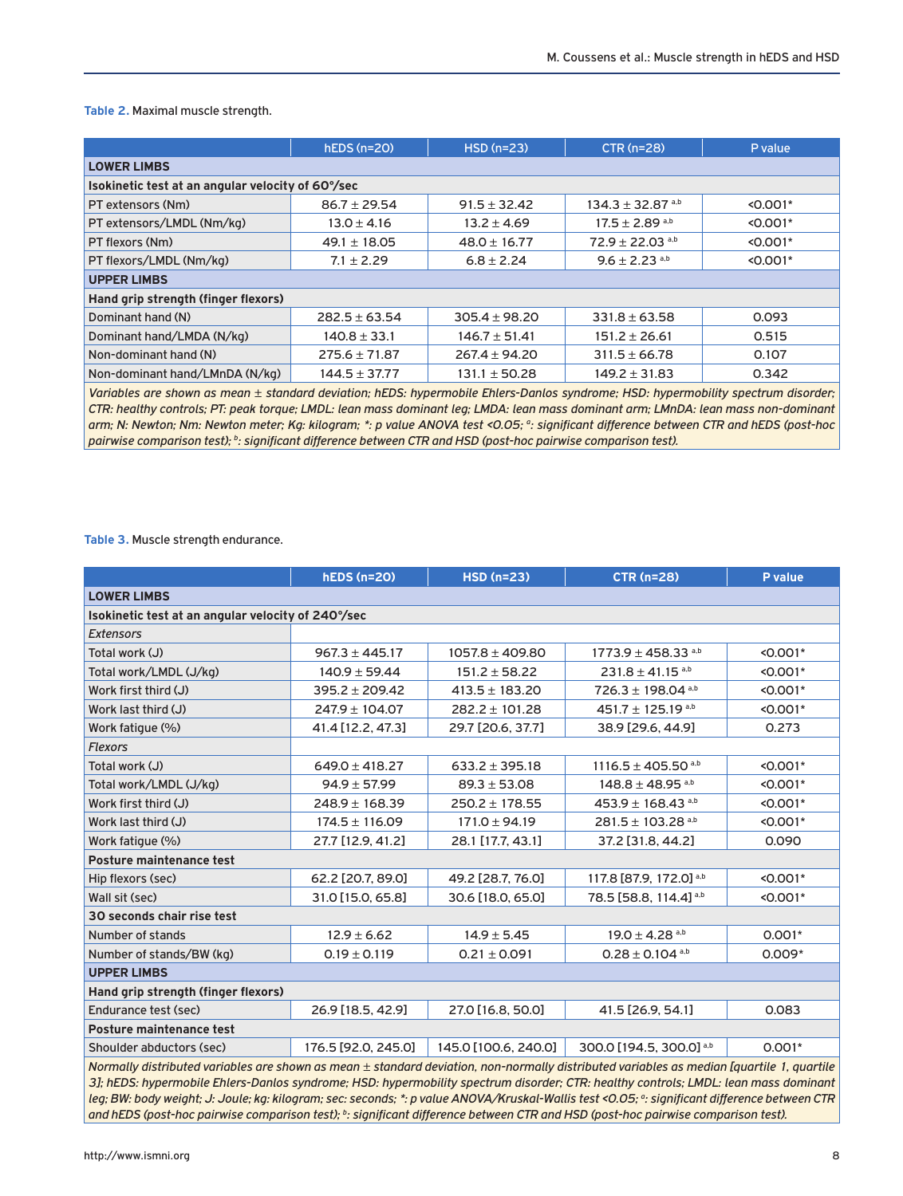**Table 2.** Maximal muscle strength.

|                                                   | $hEDS(n=20)$      | $HSD(n=23)$       | $CTR (n=28)$                     | P value    |  |  |
|---------------------------------------------------|-------------------|-------------------|----------------------------------|------------|--|--|
| <b>LOWER LIMBS</b>                                |                   |                   |                                  |            |  |  |
| Isokinetic test at an angular velocity of 60°/sec |                   |                   |                                  |            |  |  |
| PT extensors (Nm)                                 | $86.7 \pm 29.54$  | $91.5 \pm 32.42$  | $134.3 \pm 32.87$ <sup>a,b</sup> | $< 0.001*$ |  |  |
| PT extensors/LMDL (Nm/kg)                         | $13.0 \pm 4.16$   | $13.2 \pm 4.69$   | $17.5 \pm 2.89$ <sup>a,b</sup>   | $< 0.001*$ |  |  |
| PT flexors (Nm)                                   | $49.1 \pm 18.05$  | $48.0 \pm 16.77$  | $72.9 \pm 22.03$ <sup>a,b</sup>  | $< 0.001*$ |  |  |
| PT flexors/LMDL (Nm/kg)                           | $7.1 \pm 2.29$    | $6.8 \pm 2.24$    | $9.6 \pm 2.23$ <sup>a,b</sup>    | $< 0.001*$ |  |  |
| <b>UPPER LIMBS</b>                                |                   |                   |                                  |            |  |  |
| Hand grip strength (finger flexors)               |                   |                   |                                  |            |  |  |
| Dominant hand (N)                                 | $282.5 \pm 63.54$ | $305.4 \pm 98.20$ | $331.8 \pm 63.58$                | 0.093      |  |  |
| Dominant hand/LMDA (N/kg)                         | $140.8 \pm 33.1$  | $146.7 \pm 51.41$ | $151.2 \pm 26.61$                | 0.515      |  |  |
| Non-dominant hand (N)                             | $275.6 \pm 71.87$ | $267.4 \pm 94.20$ | $311.5 \pm 66.78$                | 0.107      |  |  |
| Non-dominant hand/LMnDA (N/kg)                    | $144.5 \pm 37.77$ | $131.1 \pm 50.28$ | $149.2 \pm 31.83$                | 0.342      |  |  |

*Variables are shown as mean ± standard deviation; hEDS: hypermobile Ehlers-Danlos syndrome; HSD: hypermobility spectrum disorder; CTR: healthy controls; PT: peak torque; LMDL: lean mass dominant leg; LMDA: lean mass dominant arm; LMnDA: lean mass non-dominant*  arm; N: Newton; Nm: Newton meter; Kg: kilogram; \*: p value ANOVA test <0.05; <sup>a</sup>: significant difference between CTR and hEDS (post-hoc *pairwise comparison test); b : significant difference between CTR and HSD (post-hoc pairwise comparison test).*

**Table 3.** Muscle strength endurance.

|                                                                                                                                          | <b>hEDS (n=20)</b>                                 | <b>HSD (n=23)</b>    | <b>CTR (n=28)</b>                  | P value    |  |  |
|------------------------------------------------------------------------------------------------------------------------------------------|----------------------------------------------------|----------------------|------------------------------------|------------|--|--|
| <b>LOWER LIMBS</b>                                                                                                                       |                                                    |                      |                                    |            |  |  |
|                                                                                                                                          | Isokinetic test at an angular velocity of 240°/sec |                      |                                    |            |  |  |
| <b>Extensors</b>                                                                                                                         |                                                    |                      |                                    |            |  |  |
| Total work (J)                                                                                                                           | $967.3 \pm 445.17$                                 | $1057.8 \pm 409.80$  | $1773.9 \pm 458.33$ <sup>a,b</sup> | $< 0.001*$ |  |  |
| Total work/LMDL (J/kg)                                                                                                                   | $140.9 \pm 59.44$                                  | $151.2 \pm 58.22$    | $231.8 \pm 41.15$ <sup>a,b</sup>   | $< 0.001*$ |  |  |
| Work first third (J)                                                                                                                     | $395.2 \pm 209.42$                                 | $413.5 \pm 183.20$   | $726.3 \pm 198.04$ <sup>a,b</sup>  | $< 0.001*$ |  |  |
| Work last third (J)                                                                                                                      | $247.9 \pm 104.07$                                 | $282.2 \pm 101.28$   | 451.7 ± 125.19 a,b                 | $< 0.001*$ |  |  |
| Work fatigue (%)                                                                                                                         | 41.4 [12.2, 47.3]                                  | 29.7 [20.6, 37.7]    | 38.9 [29.6, 44.9]                  | 0.273      |  |  |
| <b>Flexors</b>                                                                                                                           |                                                    |                      |                                    |            |  |  |
| Total work (J)                                                                                                                           | $649.0 \pm 418.27$                                 | $633.2 \pm 395.18$   | $1116.5 \pm 405.50$ <sup>a,b</sup> | $< 0.001*$ |  |  |
| Total work/LMDL (J/kg)                                                                                                                   | $94.9 \pm 57.99$                                   | $89.3 \pm 53.08$     | $148.8 \pm 48.95$ a,b              | $< 0.001*$ |  |  |
| Work first third (J)                                                                                                                     | $248.9 \pm 168.39$                                 | $250.2 \pm 178.55$   | $453.9 \pm 168.43$ <sup>a,b</sup>  | $< 0.001*$ |  |  |
| Work last third (J)                                                                                                                      | $174.5 \pm 116.09$                                 | $171.0 \pm 94.19$    | $281.5 \pm 103.28$ <sup>a,b</sup>  | $< 0.001*$ |  |  |
| Work fatigue (%)                                                                                                                         | 27.7 [12.9, 41.2]                                  | 28.1 [17.7, 43.1]    | 37.2 [31.8, 44.2]                  | 0.090      |  |  |
| Posture maintenance test                                                                                                                 |                                                    |                      |                                    |            |  |  |
| Hip flexors (sec)                                                                                                                        | 62.2 [20.7, 89.0]                                  | 49.2 [28.7, 76.0]    | 117.8 [87.9, 172.0] a,b            | $< 0.001*$ |  |  |
| Wall sit (sec)                                                                                                                           | 31.0 [15.0, 65.8]                                  | 30.6 [18.0, 65.0]    | 78.5 [58.8, 114.4] a,b             | $< 0.001*$ |  |  |
| 30 seconds chair rise test                                                                                                               |                                                    |                      |                                    |            |  |  |
| Number of stands                                                                                                                         | $12.9 \pm 6.62$                                    | $14.9 \pm 5.45$      | $19.0 \pm 4.28$ <sup>a,b</sup>     | $0.001*$   |  |  |
| Number of stands/BW (kg)                                                                                                                 | $0.19 \pm 0.119$                                   | $0.21 \pm 0.091$     | $0.28 \pm 0.104$ <sup>a,b</sup>    | $0.009*$   |  |  |
| <b>UPPER LIMBS</b>                                                                                                                       |                                                    |                      |                                    |            |  |  |
| Hand grip strength (finger flexors)                                                                                                      |                                                    |                      |                                    |            |  |  |
| Endurance test (sec)                                                                                                                     | 26.9 [18.5, 42.9]                                  | 27.0 [16.8, 50.0]    | 41.5 [26.9, 54.1]                  | 0.083      |  |  |
| Posture maintenance test                                                                                                                 |                                                    |                      |                                    |            |  |  |
| Shoulder abductors (sec)                                                                                                                 | 176.5 [92.0, 245.0]                                | 145.0 [100.6, 240.0] | 300.0 [194.5, 300.0] a,b           | $0.001*$   |  |  |
| Nexually distributed variables are shown as mean + standard deviation, non nexually distributed variables as median foughtle 1, quantile |                                                    |                      |                                    |            |  |  |

*Normally distributed variables are shown as mean ± standard deviation, non-normally distributed variables as median [quartile 1, quartile 3]; hEDS: hypermobile Ehlers-Danlos syndrome; HSD: hypermobility spectrum disorder; CTR: healthy controls; LMDL: lean mass dominant*  leg; BW: body weight; J: Joule; kg: kilogram; sec: seconds; \*: p value ANOVA/Kruskal-Wallis test <0.05; <sup>a</sup>: significant difference between CTR *and hEDS (post-hoc pairwise comparison test); b : significant difference between CTR and HSD (post-hoc pairwise comparison test).*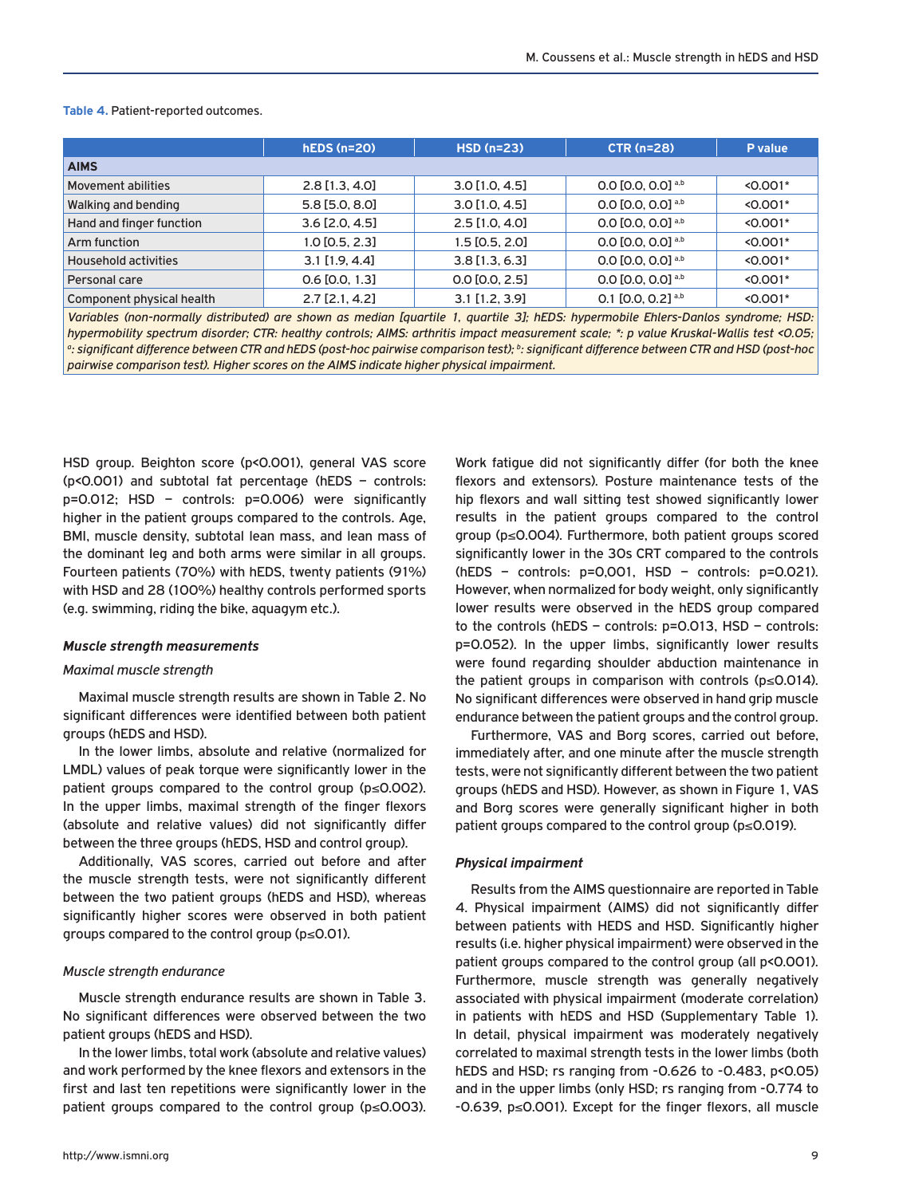#### **Table 4.** Patient-reported outcomes.

|                             | $hEDS(n=20)$         | $HSD(n=23)$      | <b>CTR (n=28)</b>               | P value    |
|-----------------------------|----------------------|------------------|---------------------------------|------------|
| <b>AIMS</b>                 |                      |                  |                                 |            |
| Movement abilities          | $2.8$ [1.3, 4.0]     | $3.0$ [1.0, 4.5] | 0.0 $[0.0, 0.0]$ <sup>a,b</sup> | $< 0.001*$ |
| Walking and bending         | 5.8 [5.0, 8.0]       | $3.0$ [1.0, 4.5] | $0.0$ [0.0, 0.0] a,b            | $< 0.001*$ |
| Hand and finger function    | $3.6$ [2.0, 4.5]     | $2.5$ [1.0, 4.0] | 0.0 $[0.0, 0.0]$ <sup>a,b</sup> | $< 0.001*$ |
| Arm function                | $1.0$ [0.5, 2.3]     | $1.5$ [0.5, 2.0] | 0.0 $[0.0, 0.0]$ <sup>a,b</sup> | $< 0.001*$ |
| <b>Household activities</b> | $3.1$ [1.9, 4.4]     | $3.8$ [1.3, 6.3] | 0.0 $[0.0, 0.0]$ <sup>a,b</sup> | $< 0.001*$ |
| Personal care               | $0.6$ [0.0, 1.3]     | $0.0$ [0.0, 2.5] | 0.0 $[0.0, 0.0]$ <sup>a,b</sup> | $< 0.001*$ |
| Component physical health   | $2.7$ [ $2.1, 4.2$ ] | $3.1$ [1.2, 3.9] | 0.1 $[0.0, 0.2]$ <sup>a,b</sup> | $< 0.001*$ |

*Variables (non-normally distributed) are shown as median [quartile 1, quartile 3]; hEDS: hypermobile Ehlers-Danlos syndrome; HSD: hypermobility spectrum disorder; CTR: healthy controls; AIMS: arthritis impact measurement scale; \*: p value Kruskal-Wallis test <0.05;*  <sup>a</sup>: significant difference between CTR and hEDS (post-hoc pairwise comparison test); <sup>b</sup>: significant difference between CTR and HSD (post-hoc *pairwise comparison test). Higher scores on the AIMS indicate higher physical impairment.*

HSD group. Beighton score (p<0.001), general VAS score (p<0.001) and subtotal fat percentage (hEDS – controls: p=0.012; HSD – controls: p=0.006) were significantly higher in the patient groups compared to the controls. Age, BMI, muscle density, subtotal lean mass, and lean mass of the dominant leg and both arms were similar in all groups. Fourteen patients (70%) with hEDS, twenty patients (91%) with HSD and 28 (100%) healthy controls performed sports (e.g. swimming, riding the bike, aquagym etc.).

#### *Muscle strength measurements*

#### *Maximal muscle strength*

Maximal muscle strength results are shown in Table 2. No significant differences were identified between both patient groups (hEDS and HSD).

In the lower limbs, absolute and relative (normalized for LMDL) values of peak torque were significantly lower in the patient groups compared to the control group (p≤0.002). In the upper limbs, maximal strength of the finger flexors (absolute and relative values) did not significantly differ between the three groups (hEDS, HSD and control group).

Additionally, VAS scores, carried out before and after the muscle strength tests, were not significantly different between the two patient groups (hEDS and HSD), whereas significantly higher scores were observed in both patient groups compared to the control group (p≤0.01).

#### *Muscle strength endurance*

Muscle strength endurance results are shown in Table 3. No significant differences were observed between the two patient groups (hEDS and HSD).

In the lower limbs, total work (absolute and relative values) and work performed by the knee flexors and extensors in the first and last ten repetitions were significantly lower in the patient groups compared to the control group (p≤0.003).

Work fatigue did not significantly differ (for both the knee flexors and extensors). Posture maintenance tests of the hip flexors and wall sitting test showed significantly lower results in the patient groups compared to the control group (p≤0.004). Furthermore, both patient groups scored significantly lower in the 30s CRT compared to the controls  $(hEDS - controls: p=0,001, HSD - controls: p=0.021).$ However, when normalized for body weight, only significantly lower results were observed in the hEDS group compared to the controls (hEDS – controls: p=0.013, HSD – controls: p=0.052). In the upper limbs, significantly lower results were found regarding shoulder abduction maintenance in the patient groups in comparison with controls (p≤0.014). No significant differences were observed in hand grip muscle endurance between the patient groups and the control group.

Furthermore, VAS and Borg scores, carried out before, immediately after, and one minute after the muscle strength tests, were not significantly different between the two patient groups (hEDS and HSD). However, as shown in Figure 1, VAS and Borg scores were generally significant higher in both patient groups compared to the control group (p≤0.019).

#### *Physical impairment*

Results from the AIMS questionnaire are reported in Table 4. Physical impairment (AIMS) did not significantly differ between patients with HEDS and HSD. Significantly higher results (i.e. higher physical impairment) were observed in the patient groups compared to the control group (all p<0.001). Furthermore, muscle strength was generally negatively associated with physical impairment (moderate correlation) in patients with hEDS and HSD (Supplementary Table 1). In detail, physical impairment was moderately negatively correlated to maximal strength tests in the lower limbs (both hEDS and HSD; rs ranging from -0.626 to -0.483, p<0.05) and in the upper limbs (only HSD; rs ranging from -0.774 to -0.639, p≤0.001). Except for the finger flexors, all muscle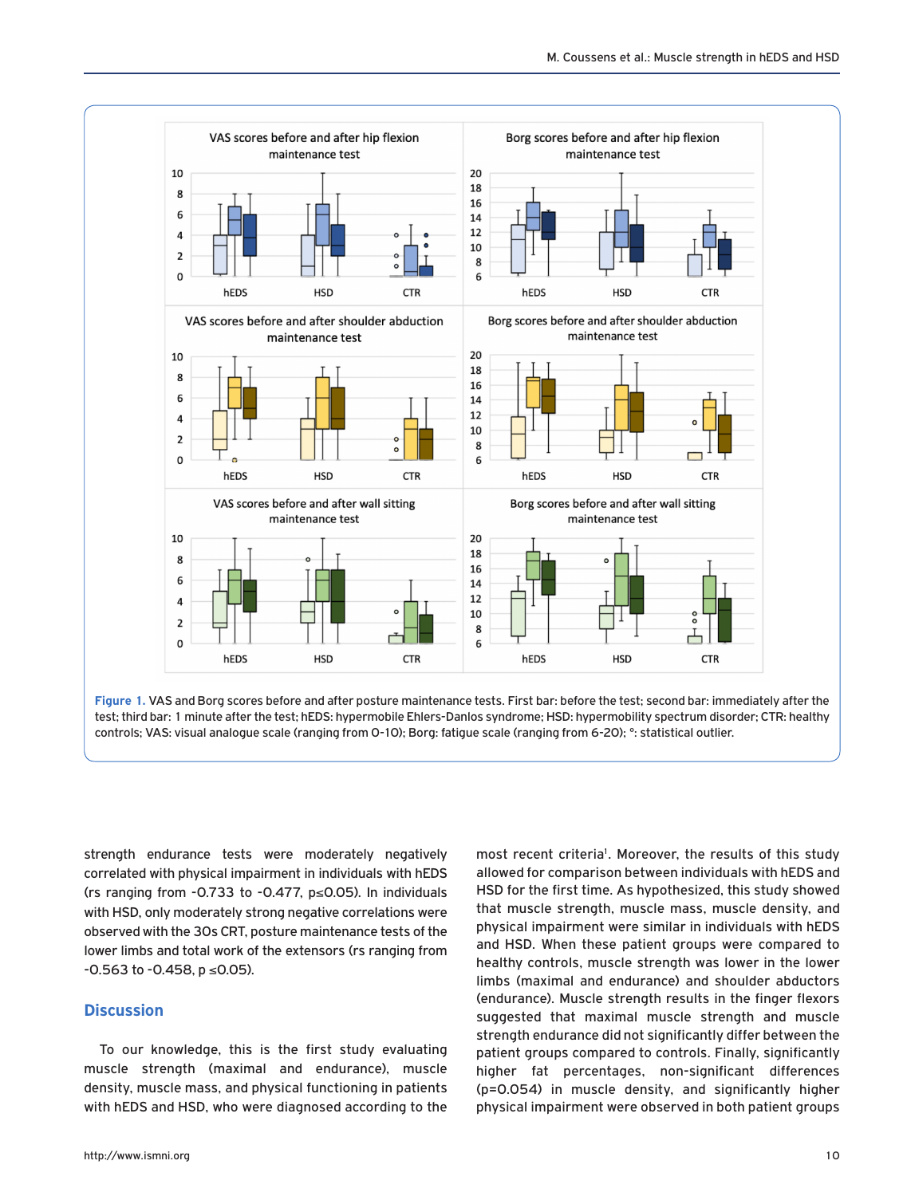



strength endurance tests were moderately negatively correlated with physical impairment in individuals with hEDS (rs ranging from  $-0.733$  to  $-0.477$ ,  $p \le 0.05$ ). In individuals with HSD, only moderately strong negative correlations were observed with the 30s CRT, posture maintenance tests of the lower limbs and total work of the extensors (rs ranging from -0.563 to -0.458, p ≤0.05).

# **Discussion**

To our knowledge, this is the first study evaluating muscle strength (maximal and endurance), muscle density, muscle mass, and physical functioning in patients with hEDS and HSD, who were diagnosed according to the HSD for the first time. As hypothesized, this study showed that muscle strength, muscle mass, muscle density, and physical impairment were similar in individuals with hEDS and HSD. When these patient groups were compared to healthy controls, muscle strength was lower in the lower limbs (maximal and endurance) and shoulder abductors (endurance). Muscle strength results in the finger flexors suggested that maximal muscle strength and muscle strength endurance did not significantly differ between the patient groups compared to controls. Finally, significantly higher fat percentages, non-significant differences (p=0.054) in muscle density, and significantly higher physical impairment were observed in both patient groups

most recent criteria<sup>1</sup>. Moreover, the results of this study allowed for comparison between individuals with hEDS and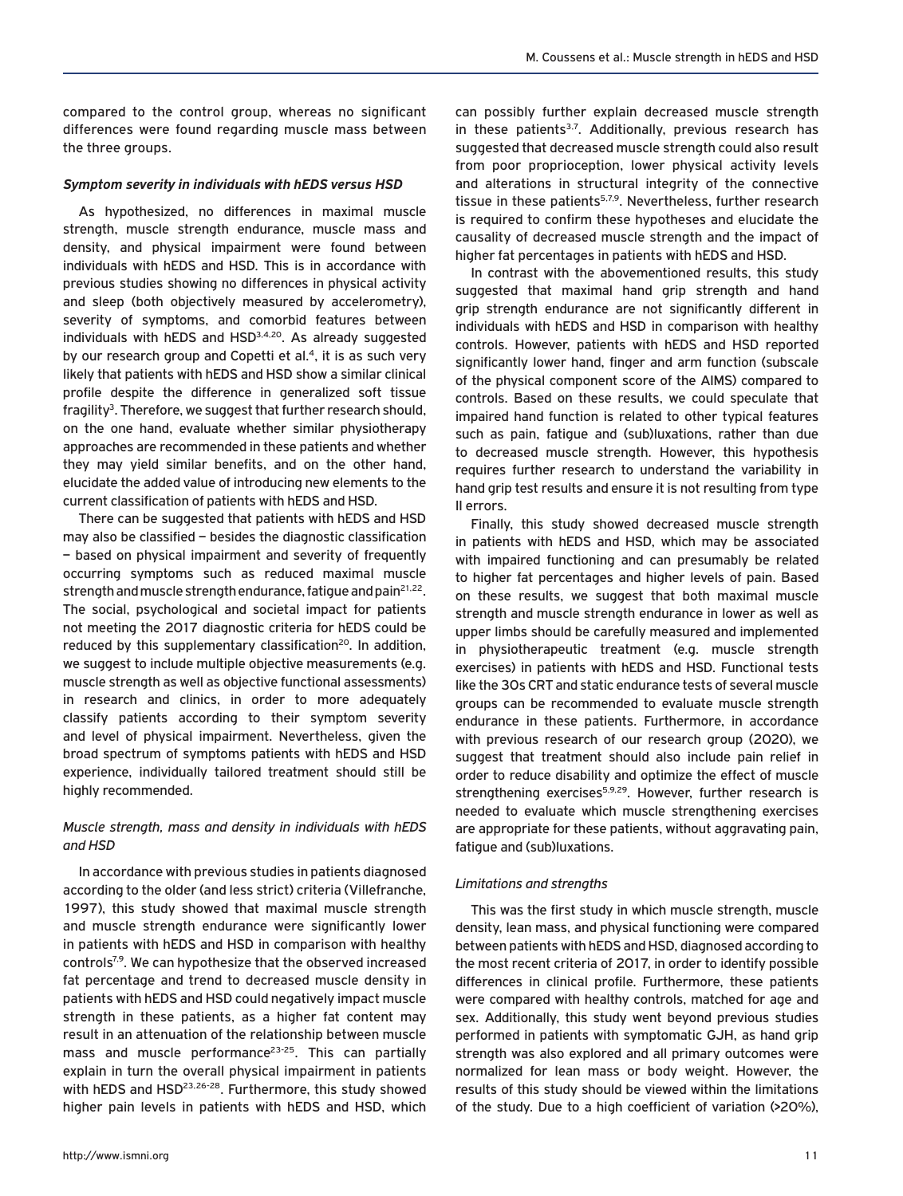compared to the control group, whereas no significant differences were found regarding muscle mass between the three groups.

#### *Symptom severity in individuals with hEDS versus HSD*

As hypothesized, no differences in maximal muscle strength, muscle strength endurance, muscle mass and density, and physical impairment were found between individuals with hEDS and HSD. This is in accordance with previous studies showing no differences in physical activity and sleep (both objectively measured by accelerometry), severity of symptoms, and comorbid features between individuals with hEDS and HSD<sup>3,4,20</sup>. As already suggested by our research group and Copetti et  $al.4$ , it is as such very likely that patients with hEDS and HSD show a similar clinical profile despite the difference in generalized soft tissue  $fragility<sup>3</sup>$ . Therefore, we suggest that further research should, on the one hand, evaluate whether similar physiotherapy approaches are recommended in these patients and whether they may yield similar benefits, and on the other hand, elucidate the added value of introducing new elements to the current classification of patients with hEDS and HSD.

There can be suggested that patients with hEDS and HSD may also be classified – besides the diagnostic classification – based on physical impairment and severity of frequently occurring symptoms such as reduced maximal muscle strength and muscle strength endurance, fatigue and pain<sup>21,22</sup>. The social, psychological and societal impact for patients not meeting the 2017 diagnostic criteria for hEDS could be reduced by this supplementary classification<sup>20</sup>. In addition, we suggest to include multiple objective measurements (e.g. muscle strength as well as objective functional assessments) in research and clinics, in order to more adequately classify patients according to their symptom severity and level of physical impairment. Nevertheless, given the broad spectrum of symptoms patients with hEDS and HSD experience, individually tailored treatment should still be highly recommended.

## *Muscle strength, mass and density in individuals with hEDS and HSD*

In accordance with previous studies in patients diagnosed according to the older (and less strict) criteria (Villefranche, 1997), this study showed that maximal muscle strength and muscle strength endurance were significantly lower in patients with hEDS and HSD in comparison with healthy controls<sup>7,9</sup>. We can hypothesize that the observed increased fat percentage and trend to decreased muscle density in patients with hEDS and HSD could negatively impact muscle strength in these patients, as a higher fat content may result in an attenuation of the relationship between muscle mass and muscle performance<sup>23-25</sup>. This can partially explain in turn the overall physical impairment in patients with hEDS and HSD<sup>23,26-28</sup>. Furthermore, this study showed higher pain levels in patients with hEDS and HSD, which can possibly further explain decreased muscle strength in these patients<sup>3,7</sup>. Additionally, previous research has suggested that decreased muscle strength could also result from poor proprioception, lower physical activity levels and alterations in structural integrity of the connective tissue in these patients<sup>5,7,9</sup>. Nevertheless, further research is required to confirm these hypotheses and elucidate the causality of decreased muscle strength and the impact of higher fat percentages in patients with hEDS and HSD.

In contrast with the abovementioned results, this study suggested that maximal hand grip strength and hand grip strength endurance are not significantly different in individuals with hEDS and HSD in comparison with healthy controls. However, patients with hEDS and HSD reported significantly lower hand, finger and arm function (subscale of the physical component score of the AIMS) compared to controls. Based on these results, we could speculate that impaired hand function is related to other typical features such as pain, fatigue and (sub)luxations, rather than due to decreased muscle strength. However, this hypothesis requires further research to understand the variability in hand grip test results and ensure it is not resulting from type II errors.

Finally, this study showed decreased muscle strength in patients with hEDS and HSD, which may be associated with impaired functioning and can presumably be related to higher fat percentages and higher levels of pain. Based on these results, we suggest that both maximal muscle strength and muscle strength endurance in lower as well as upper limbs should be carefully measured and implemented in physiotherapeutic treatment (e.g. muscle strength exercises) in patients with hEDS and HSD. Functional tests like the 30s CRT and static endurance tests of several muscle groups can be recommended to evaluate muscle strength endurance in these patients. Furthermore, in accordance with previous research of our research group (2020), we suggest that treatment should also include pain relief in order to reduce disability and optimize the effect of muscle strengthening exercises<sup>5,9,29</sup>. However, further research is needed to evaluate which muscle strengthening exercises are appropriate for these patients, without aggravating pain, fatigue and (sub)luxations.

## *Limitations and strengths*

This was the first study in which muscle strength, muscle density, lean mass, and physical functioning were compared between patients with hEDS and HSD, diagnosed according to the most recent criteria of 2017, in order to identify possible differences in clinical profile. Furthermore, these patients were compared with healthy controls, matched for age and sex. Additionally, this study went beyond previous studies performed in patients with symptomatic GJH, as hand grip strength was also explored and all primary outcomes were normalized for lean mass or body weight. However, the results of this study should be viewed within the limitations of the study. Due to a high coefficient of variation (>20%),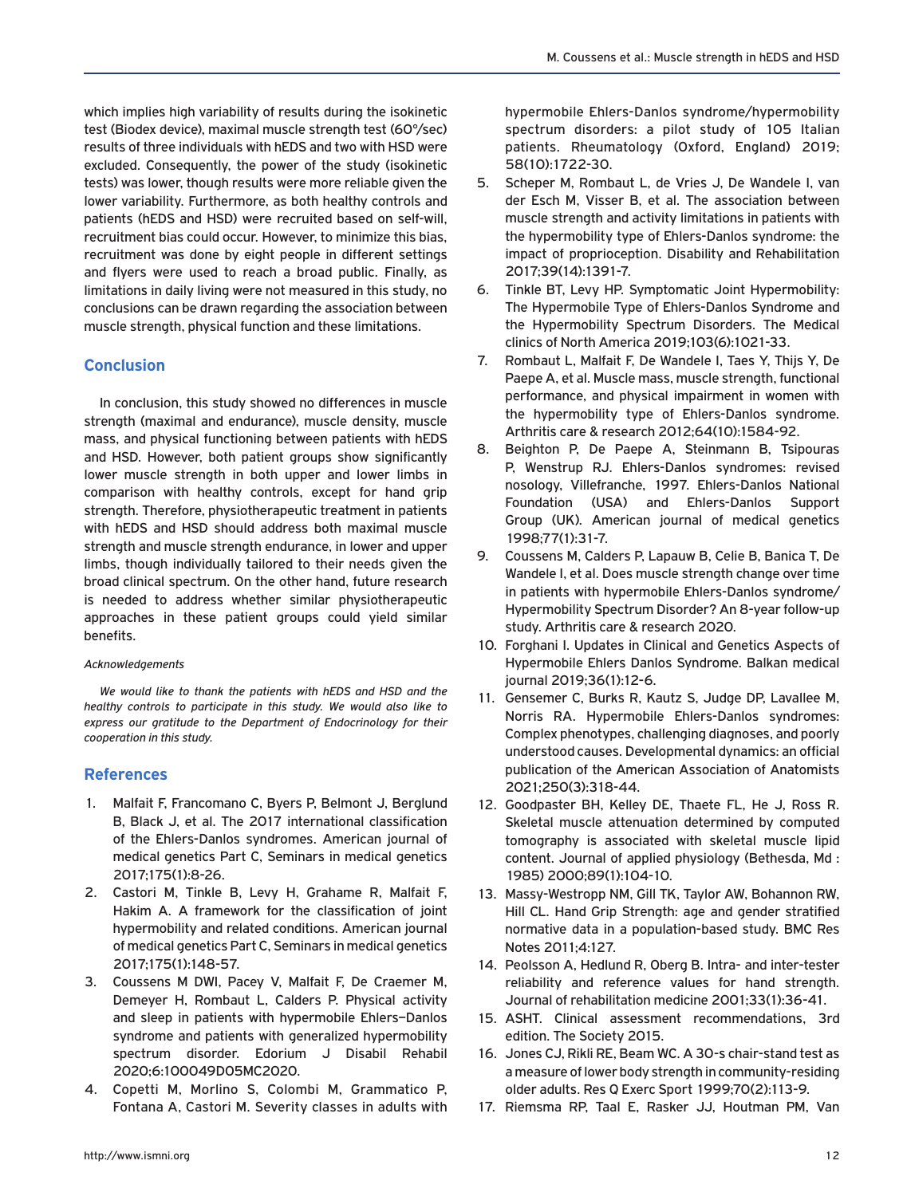which implies high variability of results during the isokinetic test (Biodex device), maximal muscle strength test (60°/sec) results of three individuals with hEDS and two with HSD were excluded. Consequently, the power of the study (isokinetic tests) was lower, though results were more reliable given the lower variability. Furthermore, as both healthy controls and patients (hEDS and HSD) were recruited based on self-will, recruitment bias could occur. However, to minimize this bias, recruitment was done by eight people in different settings and flyers were used to reach a broad public. Finally, as limitations in daily living were not measured in this study, no conclusions can be drawn regarding the association between muscle strength, physical function and these limitations.

# **Conclusion**

In conclusion, this study showed no differences in muscle strength (maximal and endurance), muscle density, muscle mass, and physical functioning between patients with hEDS and HSD. However, both patient groups show significantly lower muscle strength in both upper and lower limbs in comparison with healthy controls, except for hand grip strength. Therefore, physiotherapeutic treatment in patients with hEDS and HSD should address both maximal muscle strength and muscle strength endurance, in lower and upper limbs, though individually tailored to their needs given the broad clinical spectrum. On the other hand, future research is needed to address whether similar physiotherapeutic approaches in these patient groups could yield similar benefits.

## *Acknowledgements*

*We would like to thank the patients with hEDS and HSD and the healthy controls to participate in this study. We would also like to express our gratitude to the Department of Endocrinology for their cooperation in this study.* 

## **References**

- 1. Malfait F, Francomano C, Byers P, Belmont J, Berglund B, Black J, et al. The 2017 international classification of the Ehlers-Danlos syndromes. American journal of medical genetics Part C, Seminars in medical genetics 2017;175(1):8-26.
- 2. Castori M, Tinkle B, Levy H, Grahame R, Malfait F, Hakim A. A framework for the classification of joint hypermobility and related conditions. American journal of medical genetics Part C, Seminars in medical genetics 2017;175(1):148-57.
- 3. Coussens M DWI, Pacey V, Malfait F, De Craemer M, Demeyer H, Rombaut L, Calders P. Physical activity and sleep in patients with hypermobile Ehlers–Danlos syndrome and patients with generalized hypermobility spectrum disorder. Edorium J Disabil Rehabil 2020;6:100049D05MC2020.
- 4. Copetti M, Morlino S, Colombi M, Grammatico P, Fontana A, Castori M. Severity classes in adults with

hypermobile Ehlers-Danlos syndrome/hypermobility spectrum disorders: a pilot study of 105 Italian patients. Rheumatology (Oxford, England) 2019; 58(10):1722-30.

- 5. Scheper M, Rombaut L, de Vries J, De Wandele I, van der Esch M, Visser B, et al. The association between muscle strength and activity limitations in patients with the hypermobility type of Ehlers-Danlos syndrome: the impact of proprioception. Disability and Rehabilitation 2017;39(14):1391-7.
- 6. Tinkle BT, Levy HP. Symptomatic Joint Hypermobility: The Hypermobile Type of Ehlers-Danlos Syndrome and the Hypermobility Spectrum Disorders. The Medical clinics of North America 2019;103(6):1021-33.
- 7. Rombaut L, Malfait F, De Wandele I, Taes Y, Thijs Y, De Paepe A, et al. Muscle mass, muscle strength, functional performance, and physical impairment in women with the hypermobility type of Ehlers-Danlos syndrome. Arthritis care & research 2012;64(10):1584-92.
- 8. Beighton P, De Paepe A, Steinmann B, Tsipouras P, Wenstrup RJ. Ehlers-Danlos syndromes: revised nosology, Villefranche, 1997. Ehlers-Danlos National Foundation (USA) and Ehlers-Danlos Support Group (UK). American journal of medical genetics 1998;77(1):31-7.
- 9. Coussens M, Calders P, Lapauw B, Celie B, Banica T, De Wandele I, et al. Does muscle strength change over time in patients with hypermobile Ehlers-Danlos syndrome/ Hypermobility Spectrum Disorder? An 8-year follow-up study. Arthritis care & research 2020.
- 10. Forghani I. Updates in Clinical and Genetics Aspects of Hypermobile Ehlers Danlos Syndrome. Balkan medical journal 2019;36(1):12-6.
- 11. Gensemer C, Burks R, Kautz S, Judge DP, Lavallee M, Norris RA. Hypermobile Ehlers-Danlos syndromes: Complex phenotypes, challenging diagnoses, and poorly understood causes. Developmental dynamics: an official publication of the American Association of Anatomists 2021;250(3):318-44.
- 12. Goodpaster BH, Kelley DE, Thaete FL, He J, Ross R. Skeletal muscle attenuation determined by computed tomography is associated with skeletal muscle lipid content. Journal of applied physiology (Bethesda, Md : 1985) 2000;89(1):104-10.
- 13. Massy-Westropp NM, Gill TK, Taylor AW, Bohannon RW, Hill CL. Hand Grip Strength: age and gender stratified normative data in a population-based study. BMC Res Notes 2011;4:127.
- 14. Peolsson A, Hedlund R, Oberg B. Intra- and inter-tester reliability and reference values for hand strength. Journal of rehabilitation medicine 2001;33(1):36-41.
- 15. ASHT. Clinical assessment recommendations, 3rd edition. The Society 2015.
- 16. Jones CJ, Rikli RE, Beam WC. A 30-s chair-stand test as a measure of lower body strength in community-residing older adults. Res Q Exerc Sport 1999;70(2):113-9.
- 17. Riemsma RP, Taal E, Rasker JJ, Houtman PM, Van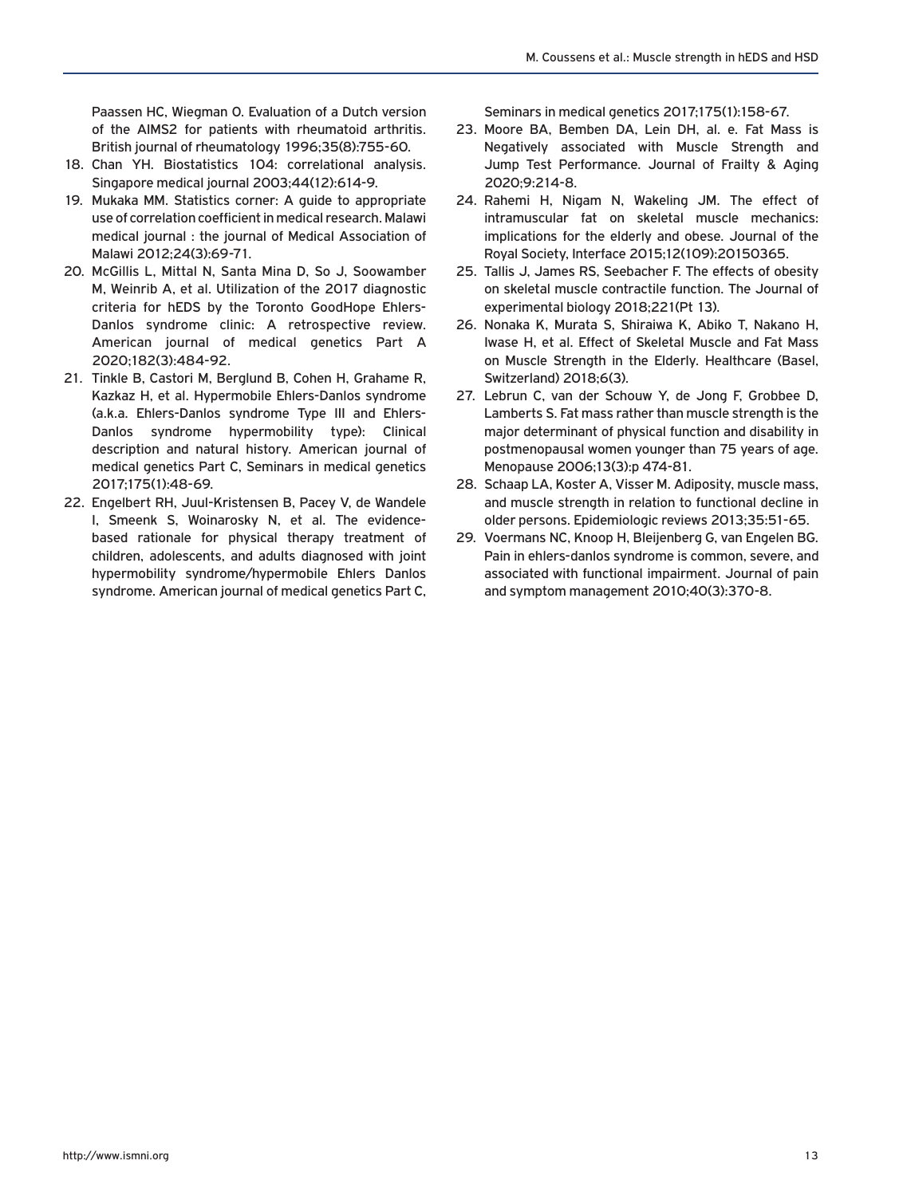Paassen HC, Wiegman O. Evaluation of a Dutch version of the AIMS2 for patients with rheumatoid arthritis. British journal of rheumatology 1996;35(8):755-60.

- 18. Chan YH. Biostatistics 104: correlational analysis. Singapore medical journal 2003;44(12):614-9.
- 19. Mukaka MM. Statistics corner: A guide to appropriate use of correlation coefficient in medical research. Malawi medical journal : the journal of Medical Association of Malawi 2012;24(3):69-71.
- 20. McGillis L, Mittal N, Santa Mina D, So J, Soowamber M, Weinrib A, et al. Utilization of the 2017 diagnostic criteria for hEDS by the Toronto GoodHope Ehlers-Danlos syndrome clinic: A retrospective review. American journal of medical genetics Part A 2020;182(3):484-92.
- 21. Tinkle B, Castori M, Berglund B, Cohen H, Grahame R, Kazkaz H, et al. Hypermobile Ehlers-Danlos syndrome (a.k.a. Ehlers-Danlos syndrome Type III and Ehlers-Danlos syndrome hypermobility type): Clinical description and natural history. American journal of medical genetics Part C, Seminars in medical genetics 2017;175(1):48-69.
- 22. Engelbert RH, Juul-Kristensen B, Pacey V, de Wandele I, Smeenk S, Woinarosky N, et al. The evidencebased rationale for physical therapy treatment of children, adolescents, and adults diagnosed with joint hypermobility syndrome/hypermobile Ehlers Danlos syndrome. American journal of medical genetics Part C,

Seminars in medical genetics 2017;175(1):158-67.

- 23. Moore BA, Bemben DA, Lein DH, al. e. Fat Mass is Negatively associated with Muscle Strength and Jump Test Performance. Journal of Frailty & Aging 2020;9:214-8.
- 24. Rahemi H, Nigam N, Wakeling JM. The effect of intramuscular fat on skeletal muscle mechanics: implications for the elderly and obese. Journal of the Royal Society, Interface 2015;12(109):20150365.
- 25. Tallis J, James RS, Seebacher F. The effects of obesity on skeletal muscle contractile function. The Journal of experimental biology 2018;221(Pt 13).
- 26. Nonaka K, Murata S, Shiraiwa K, Abiko T, Nakano H, Iwase H, et al. Effect of Skeletal Muscle and Fat Mass on Muscle Strength in the Elderly. Healthcare (Basel, Switzerland) 2018;6(3).
- 27. Lebrun C, van der Schouw Y, de Jong F, Grobbee D, Lamberts S. Fat mass rather than muscle strength is the major determinant of physical function and disability in postmenopausal women younger than 75 years of age. Menopause 2006;13(3):p 474-81.
- 28. Schaap LA, Koster A, Visser M. Adiposity, muscle mass, and muscle strength in relation to functional decline in older persons. Epidemiologic reviews 2013;35:51-65.
- 29. Voermans NC, Knoop H, Bleijenberg G, van Engelen BG. Pain in ehlers-danlos syndrome is common, severe, and associated with functional impairment. Journal of pain and symptom management 2010;40(3):370-8.